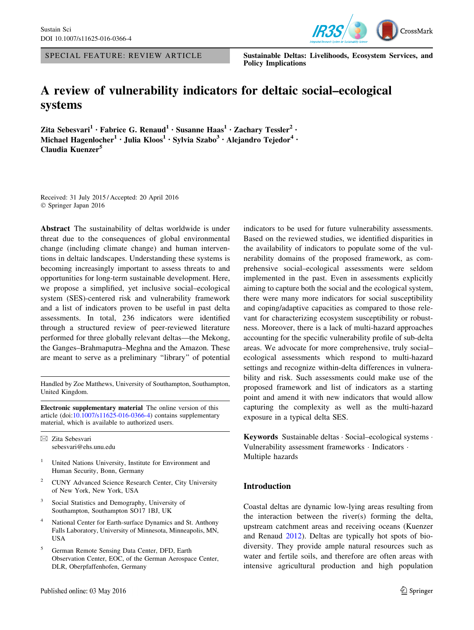

SPECIAL FEATURE: REVIEW ARTICLE Sustainable Deltas: Livelihoods, Ecosystem Services, and Policy Implications

# A review of vulnerability indicators for deltaic social–ecological systems

Zita Sebesvari<sup>1</sup> • Fabrice G. Renaud<sup>1</sup> • Susanne Haas<sup>1</sup> • Zachary Tessler<sup>2</sup> • Michael Hagenlocher<sup>1</sup> · Julia Kloos<sup>1</sup> · Sylvia Szabo<sup>3</sup> · Alejandro Tejedor<sup>4</sup> · Claudia Kuenzer<sup>5</sup>

Received: 31 July 2015 / Accepted: 20 April 2016 - Springer Japan 2016

Abstract The sustainability of deltas worldwide is under threat due to the consequences of global environmental change (including climate change) and human interventions in deltaic landscapes. Understanding these systems is becoming increasingly important to assess threats to and opportunities for long-term sustainable development. Here, we propose a simplified, yet inclusive social–ecological system (SES)-centered risk and vulnerability framework and a list of indicators proven to be useful in past delta assessments. In total, 236 indicators were identified through a structured review of peer-reviewed literature performed for three globally relevant deltas—the Mekong, the Ganges–Brahmaputra–Meghna and the Amazon. These are meant to serve as a preliminary ''library'' of potential

Handled by Zoe Matthews, University of Southampton, Southampton, United Kingdom.

Electronic supplementary material The online version of this article (doi:[10.1007/s11625-016-0366-4\)](http://dx.doi.org/10.1007/s11625-016-0366-4) contains supplementary material, which is available to authorized users.

 $\boxtimes$  Zita Sebesvari sebesvari@ehs.unu.edu

- <sup>1</sup> United Nations University, Institute for Environment and Human Security, Bonn, Germany
- <sup>2</sup> CUNY Advanced Science Research Center, City University of New York, New York, USA
- <sup>3</sup> Social Statistics and Demography, University of Southampton, Southampton SO17 1BJ, UK
- National Center for Earth-surface Dynamics and St. Anthony Falls Laboratory, University of Minnesota, Minneapolis, MN, USA
- <sup>5</sup> German Remote Sensing Data Center, DFD, Earth Observation Center, EOC, of the German Aerospace Center, DLR, Oberpfaffenhofen, Germany

indicators to be used for future vulnerability assessments. Based on the reviewed studies, we identified disparities in the availability of indicators to populate some of the vulnerability domains of the proposed framework, as comprehensive social–ecological assessments were seldom implemented in the past. Even in assessments explicitly aiming to capture both the social and the ecological system, there were many more indicators for social susceptibility and coping/adaptive capacities as compared to those relevant for characterizing ecosystem susceptibility or robustness. Moreover, there is a lack of multi-hazard approaches accounting for the specific vulnerability profile of sub-delta areas. We advocate for more comprehensive, truly social– ecological assessments which respond to multi-hazard settings and recognize within-delta differences in vulnerability and risk. Such assessments could make use of the proposed framework and list of indicators as a starting point and amend it with new indicators that would allow capturing the complexity as well as the multi-hazard exposure in a typical delta SES.

Keywords Sustainable deltas - Social–ecological systems - Vulnerability assessment frameworks · Indicators · Multiple hazards

## Introduction

Coastal deltas are dynamic low-lying areas resulting from the interaction between the river(s) forming the delta, upstream catchment areas and receiving oceans (Kuenzer and Renaud [2012](#page-13-0)). Deltas are typically hot spots of biodiversity. They provide ample natural resources such as water and fertile soils, and therefore are often areas with intensive agricultural production and high population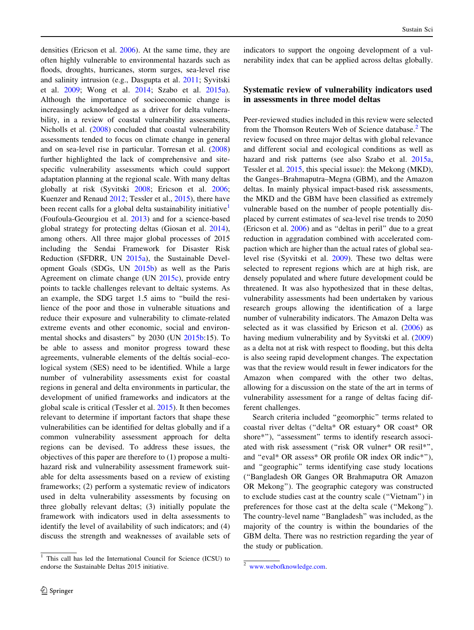densities (Ericson et al. [2006](#page-12-0)). At the same time, they are often highly vulnerable to environmental hazards such as floods, droughts, hurricanes, storm surges, sea-level rise and salinity intrusion (e.g., Dasgupta et al. [2011](#page-12-0); Syvitski et al. [2009;](#page-14-0) Wong et al. [2014;](#page-15-0) Szabo et al. [2015a](#page-14-0)). Although the importance of socioeconomic change is increasingly acknowledged as a driver for delta vulnerability, in a review of coastal vulnerability assessments, Nicholls et al. [\(2008](#page-13-0)) concluded that coastal vulnerability assessments tended to focus on climate change in general and on sea-level rise in particular. Torresan et al. ([2008\)](#page-14-0) further highlighted the lack of comprehensive and sitespecific vulnerability assessments which could support adaptation planning at the regional scale. With many deltas globally at risk (Syvitski [2008](#page-14-0); Ericson et al. [2006](#page-12-0); Kuenzer and Renaud [2012;](#page-13-0) Tessler et al., [2015](#page-14-0)), there have been recent calls for a global delta sustainability initiative<sup>1</sup> (Foufoula-Geourgiou et al. [2013\)](#page-12-0) and for a science-based global strategy for protecting deltas (Giosan et al. [2014](#page-12-0)), among others. All three major global processes of 2015 including the Sendai Framework for Disaster Risk Reduction (SFDRR, UN [2015a\)](#page-14-0), the Sustainable Development Goals (SDGs, UN [2015b\)](#page-14-0) as well as the Paris Agreement on climate change (UN [2015c\)](#page-14-0), provide entry points to tackle challenges relevant to deltaic systems. As an example, the SDG target 1.5 aims to ''build the resilience of the poor and those in vulnerable situations and reduce their exposure and vulnerability to climate-related extreme events and other economic, social and environmental shocks and disasters'' by 2030 (UN [2015b](#page-14-0):15). To be able to assess and monitor progress toward these agreements, vulnerable elements of the deltás social–ecological system (SES) need to be identified. While a large number of vulnerability assessments exist for coastal regions in general and delta environments in particular, the development of unified frameworks and indicators at the global scale is critical (Tessler et al. [2015](#page-14-0)). It then becomes relevant to determine if important factors that shape these vulnerabilities can be identified for deltas globally and if a common vulnerability assessment approach for delta regions can be devised. To address these issues, the objectives of this paper are therefore to (1) propose a multihazard risk and vulnerability assessment framework suitable for delta assessments based on a review of existing frameworks; (2) perform a systematic review of indicators used in delta vulnerability assessments by focusing on three globally relevant deltas; (3) initially populate the framework with indicators used in delta assessments to identify the level of availability of such indicators; and (4) discuss the strength and weaknesses of available sets of

indicators to support the ongoing development of a vulnerability index that can be applied across deltas globally.

# Systematic review of vulnerability indicators used in assessments in three model deltas

Peer-reviewed studies included in this review were selected from the Thomson Reuters Web of Science database.<sup>2</sup> The review focused on three major deltas with global relevance and different social and ecological conditions as well as hazard and risk patterns (see also Szabo et al. [2015a,](#page-14-0) Tessler et al. [2015,](#page-14-0) this special issue): the Mekong (MKD), the Ganges–Brahmaputra–Megna (GBM), and the Amazon deltas. In mainly physical impact-based risk assessments, the MKD and the GBM have been classified as extremely vulnerable based on the number of people potentially displaced by current estimates of sea-level rise trends to 2050 (Ericson et al. [2006](#page-12-0)) and as ''deltas in peril'' due to a great reduction in aggradation combined with accelerated compaction which are higher than the actual rates of global sealevel rise (Syvitski et al. [2009](#page-14-0)). These two deltas were selected to represent regions which are at high risk, are densely populated and where future development could be threatened. It was also hypothesized that in these deltas, vulnerability assessments had been undertaken by various research groups allowing the identification of a large number of vulnerability indicators. The Amazon Delta was selected as it was classified by Ericson et al.  $(2006)$  $(2006)$  as having medium vulnerability and by Syvitski et al. ([2009\)](#page-14-0) as a delta not at risk with respect to flooding, but this delta is also seeing rapid development changes. The expectation was that the review would result in fewer indicators for the Amazon when compared with the other two deltas, allowing for a discussion on the state of the art in terms of vulnerability assessment for a range of deltas facing different challenges.

Search criteria included ''geomorphic'' terms related to coastal river deltas (''delta\* OR estuary\* OR coast\* OR shore\*"), "assessment" terms to identify research associated with risk assessment (''risk OR vulner\* OR resil\*'', and ''eval\* OR assess\* OR profile OR index OR indic\*''), and ''geographic'' terms identifying case study locations (''Bangladesh OR Ganges OR Brahmaputra OR Amazon OR Mekong''). The geographic category was constructed to exclude studies cast at the country scale (''Vietnam'') in preferences for those cast at the delta scale (''Mekong''). The country-level name ''Bangladesh'' was included, as the majority of the country is within the boundaries of the GBM delta. There was no restriction regarding the year of the study or publication.

<sup>&</sup>lt;sup>1</sup> This call has led the International Council for Science (ICSU) to endorse the Sustainable Deltas 2015 initiative.<sup>2</sup> [www.webofknowledge.com](http://www.webofknowledge.com).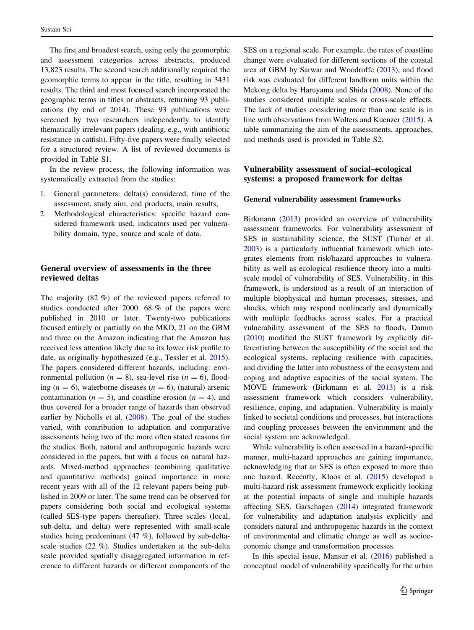The first and broadest search, using only the geomorphic and assessment categories across abstracts, produced 13,823 results. The second search additionally required the geomorphic terms to appear in the title, resulting in 3431 results. The third and most focused search incorporated the geographic terms in titles or abstracts, returning 93 publications (by end of 2014). These 93 publications were screened by two researchers independently to identify thematically irrelevant papers (dealing, e.g., with antibiotic resistance in catfish). Fifty-five papers were finally selected for a structured review. A list of reviewed documents is provided in Table S1.

In the review process, the following information was systematically extracted from the studies:

- 1. General parameters: delta(s) considered, time of the assessment, study aim, end products, main results;
- 2. Methodological characteristics: specific hazard considered framework used, indicators used per vulnerability domain, type, source and scale of data.

# General overview of assessments in the three reviewed deltas

The majority (82 %) of the reviewed papers referred to studies conducted after 2000. 68 % of the papers were published in 2010 or later. Twenty-two publications focused entirely or partially on the MKD, 21 on the GBM and three on the Amazon indicating that the Amazon has received less attention likely due to its lower risk profile to date, as originally hypothesized (e.g., Tessler et al. [2015](#page-14-0)). The papers considered different hazards, including: environmental pollution ( $n = 8$ ), sea-level rise ( $n = 6$ ), flooding ( $n = 6$ ), waterborne diseases ( $n = 6$ ), (natural) arsenic contamination ( $n = 5$ ), and coastline erosion ( $n = 4$ ), and thus covered for a broader range of hazards than observed earlier by Nicholls et al. ([2008\)](#page-13-0). The goal of the studies varied, with contribution to adaptation and comparative assessments being two of the more often stated reasons for the studies. Both, natural and anthropogenic hazards were considered in the papers, but with a focus on natural hazards. Mixed-method approaches (combining qualitative and quantitative methods) gained importance in more recent years with all of the 12 relevant papers being published in 2009 or later. The same trend can be observed for papers considering both social and ecological systems (called SES-type papers thereafter). Three scales (local, sub-delta, and delta) were represented with small-scale studies being predominant (47 %), followed by sub-deltascale studies (22 %). Studies undertaken at the sub-delta scale provided spatially disaggregated information in reference to different hazards or different components of the SES on a regional scale. For example, the rates of coastline change were evaluated for different sections of the coastal area of GBM by Sarwar and Woodroffe ([2013\)](#page-14-0), and flood risk was evaluated for different landform units within the Mekong delta by Haruyama and Shida ([2008\)](#page-12-0). None of the studies considered multiple scales or cross-scale effects. The lack of studies considering more than one scale is in line with observations from Wolters and Kuenzer ([2015\)](#page-15-0). A table summarizing the aim of the assessments, approaches, and methods used is provided in Table S2.

## Vulnerability assessment of social–ecological systems: a proposed framework for deltas

#### General vulnerability assessment frameworks

Birkmann [\(2013](#page-12-0)) provided an overview of vulnerability assessment frameworks. For vulnerability assessment of SES in sustainability science, the SUST (Turner et al. [2003](#page-14-0)) is a particularly influential framework which integrates elements from risk/hazard approaches to vulnerability as well as ecological resilience theory into a multiscale model of vulnerability of SES. Vulnerability, in this framework, is understood as a result of an interaction of multiple biophysical and human processes, stresses, and shocks, which may respond nonlinearly and dynamically with multiple feedbacks across scales. For a practical vulnerability assessment of the SES to floods, Damm [\(2010](#page-12-0)) modified the SUST framework by explicitly differentiating between the susceptibility of the social and the ecological systems, replacing resilience with capacities, and dividing the latter into robustness of the ecosystem and coping and adaptive capacities of the social system. The MOVE framework (Birkmann et al. [2013](#page-12-0)) is a risk assessment framework which considers vulnerability, resilience, coping, and adaptation. Vulnerability is mainly linked to societal conditions and processes, but interactions and coupling processes between the environment and the social system are acknowledged.

While vulnerability is often assessed in a hazard-specific manner, multi-hazard approaches are gaining importance, acknowledging that an SES is often exposed to more than one hazard. Recently, Kloos et al. ([2015](#page-13-0)) developed a multi-hazard risk assessment framework explicitly looking at the potential impacts of single and multiple hazards affecting SES. Garschagen ([2014\)](#page-12-0) integrated framework for vulnerability and adaptation analysis explicitly and considers natural and anthropogenic hazards in the context of environmental and climatic change as well as socioeconomic change and transformation processes.

In this special issue, Mansur et al. ([2016\)](#page-13-0) published a conceptual model of vulnerability specifically for the urban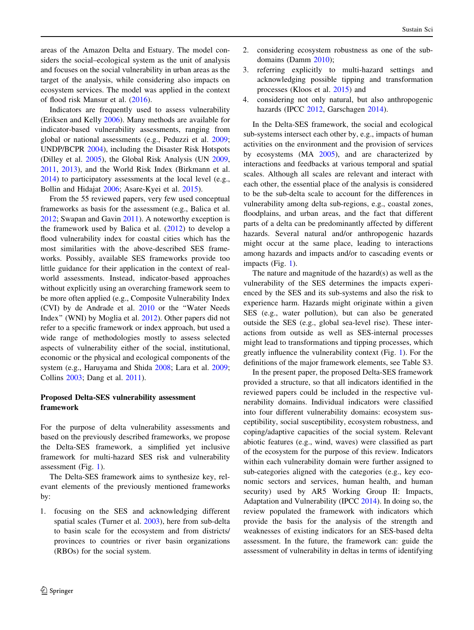areas of the Amazon Delta and Estuary. The model considers the social–ecological system as the unit of analysis and focuses on the social vulnerability in urban areas as the target of the analysis, while considering also impacts on ecosystem services. The model was applied in the context of flood risk Mansur et al. ([2016\)](#page-13-0).

Indicators are frequently used to assess vulnerability (Eriksen and Kelly [2006\)](#page-12-0). Many methods are available for indicator-based vulnerability assessments, ranging from global or national assessments (e.g., Peduzzi et al. [2009](#page-13-0); UNDP/BCPR [2004\)](#page-14-0), including the Disaster Risk Hotspots (Dilley et al. [2005\)](#page-12-0), the Global Risk Analysis (UN [2009,](#page-14-0) [2011,](#page-14-0) [2013](#page-14-0)), and the World Risk Index (Birkmann et al. [2014\)](#page-12-0) to participatory assessments at the local level (e.g., Bollin and Hidajat [2006](#page-12-0); Asare-Kyei et al. [2015](#page-11-0)).

From the 55 reviewed papers, very few used conceptual frameworks as basis for the assessment (e.g., Balica et al. [2012;](#page-11-0) Swapan and Gavin [2011\)](#page-14-0). A noteworthy exception is the framework used by Balica et al. ([2012\)](#page-11-0) to develop a flood vulnerability index for coastal cities which has the most similarities with the above-described SES frameworks. Possibly, available SES frameworks provide too little guidance for their application in the context of realworld assessments. Instead, indicator-based approaches without explicitly using an overarching framework seem to be more often applied (e.g., Composite Vulnerability Index (CVI) by de Andrade et al. [2010](#page-12-0) or the ''Water Needs Index'' (WNI) by Moglia et al. [2012](#page-13-0)). Other papers did not refer to a specific framework or index approach, but used a wide range of methodologies mostly to assess selected aspects of vulnerability either of the social, institutional, economic or the physical and ecological components of the system (e.g., Haruyama and Shida [2008;](#page-12-0) Lara et al. [2009](#page-13-0); Collins [2003](#page-12-0); Dang et al. [2011\)](#page-12-0).

# Proposed Delta-SES vulnerability assessment framework

For the purpose of delta vulnerability assessments and based on the previously described frameworks, we propose the Delta-SES framework, a simplified yet inclusive framework for multi-hazard SES risk and vulnerability assessment (Fig. [1](#page-4-0)).

The Delta-SES framework aims to synthesize key, relevant elements of the previously mentioned frameworks by:

1. focusing on the SES and acknowledging different spatial scales (Turner et al. [2003\)](#page-14-0), here from sub-delta to basin scale for the ecosystem and from districts/ provinces to countries or river basin organizations (RBOs) for the social system.

- 3. referring explicitly to multi-hazard settings and acknowledging possible tipping and transformation processes (Kloos et al. [2015\)](#page-13-0) and
- 4. considering not only natural, but also anthropogenic hazards (IPCC [2012,](#page-13-0) Garschagen [2014](#page-12-0)).

In the Delta-SES framework, the social and ecological sub-systems intersect each other by, e.g., impacts of human activities on the environment and the provision of services by ecosystems (MA [2005](#page-13-0)), and are characterized by interactions and feedbacks at various temporal and spatial scales. Although all scales are relevant and interact with each other, the essential place of the analysis is considered to be the sub-delta scale to account for the differences in vulnerability among delta sub-regions, e.g., coastal zones, floodplains, and urban areas, and the fact that different parts of a delta can be predominantly affected by different hazards. Several natural and/or anthropogenic hazards might occur at the same place, leading to interactions among hazards and impacts and/or to cascading events or impacts (Fig. [1](#page-4-0)).

The nature and magnitude of the hazard(s) as well as the vulnerability of the SES determines the impacts experienced by the SES and its sub-systems and also the risk to experience harm. Hazards might originate within a given SES (e.g., water pollution), but can also be generated outside the SES (e.g., global sea-level rise). These interactions from outside as well as SES-internal processes might lead to transformations and tipping processes, which greatly influence the vulnerability context (Fig. [1](#page-4-0)). For the definitions of the major framework elements, see Table S3.

In the present paper, the proposed Delta-SES framework provided a structure, so that all indicators identified in the reviewed papers could be included in the respective vulnerability domains. Individual indicators were classified into four different vulnerability domains: ecosystem susceptibility, social susceptibility, ecosystem robustness, and coping/adaptive capacities of the social system. Relevant abiotic features (e.g., wind, waves) were classified as part of the ecosystem for the purpose of this review. Indicators within each vulnerability domain were further assigned to sub-categories aligned with the categories (e.g., key economic sectors and services, human health, and human security) used by AR5 Working Group II: Impacts, Adaptation and Vulnerability (IPCC [2014\)](#page-13-0). In doing so, the review populated the framework with indicators which provide the basis for the analysis of the strength and weaknesses of existing indicators for an SES-based delta assessment. In the future, the framework can: guide the assessment of vulnerability in deltas in terms of identifying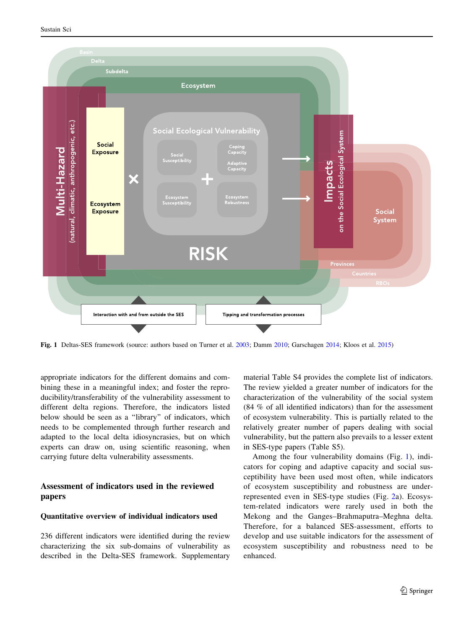<span id="page-4-0"></span>

Fig. 1 Deltas-SES framework (source: authors based on Turner et al. [2003](#page-14-0); Damm [2010;](#page-12-0) Garschagen [2014;](#page-12-0) Kloos et al. [2015\)](#page-13-0)

appropriate indicators for the different domains and combining these in a meaningful index; and foster the reproducibility/transferability of the vulnerability assessment to different delta regions. Therefore, the indicators listed below should be seen as a ''library'' of indicators, which needs to be complemented through further research and adapted to the local delta idiosyncrasies, but on which experts can draw on, using scientific reasoning, when carrying future delta vulnerability assessments.

# Assessment of indicators used in the reviewed papers

#### Quantitative overview of individual indicators used

236 different indicators were identified during the review characterizing the six sub-domains of vulnerability as described in the Delta-SES framework. Supplementary material Table S4 provides the complete list of indicators. The review yielded a greater number of indicators for the characterization of the vulnerability of the social system (84 % of all identified indicators) than for the assessment of ecosystem vulnerability. This is partially related to the relatively greater number of papers dealing with social vulnerability, but the pattern also prevails to a lesser extent in SES-type papers (Table S5).

Among the four vulnerability domains (Fig. 1), indicators for coping and adaptive capacity and social susceptibility have been used most often, while indicators of ecosystem susceptibility and robustness are underrepresented even in SES-type studies (Fig. [2](#page-5-0)a). Ecosystem-related indicators were rarely used in both the Mekong and the Ganges–Brahmaputra–Meghna delta. Therefore, for a balanced SES-assessment, efforts to develop and use suitable indicators for the assessment of ecosystem susceptibility and robustness need to be enhanced.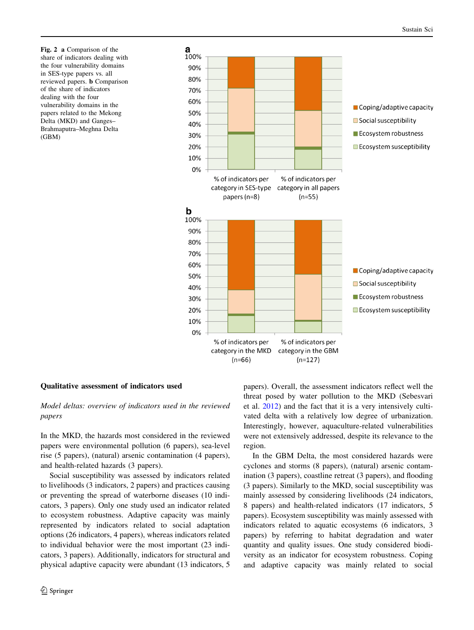<span id="page-5-0"></span>Fig. 2 a Comparison of the share of indicators dealing with the four vulnerability domains in SES-type papers vs. all reviewed papers. b Comparison of the share of indicators dealing with the four vulnerability domains in the papers related to the Mekong Delta (MKD) and Ganges– Brahmaputra–Meghna Delta (GBM)



## Qualitative assessment of indicators used

# Model deltas: overview of indicators used in the reviewed papers

In the MKD, the hazards most considered in the reviewed papers were environmental pollution (6 papers), sea-level rise (5 papers), (natural) arsenic contamination (4 papers), and health-related hazards (3 papers).

Social susceptibility was assessed by indicators related to livelihoods (3 indicators, 2 papers) and practices causing or preventing the spread of waterborne diseases (10 indicators, 3 papers). Only one study used an indicator related to ecosystem robustness. Adaptive capacity was mainly represented by indicators related to social adaptation options (26 indicators, 4 papers), whereas indicators related to individual behavior were the most important (23 indicators, 3 papers). Additionally, indicators for structural and physical adaptive capacity were abundant (13 indicators, 5 papers). Overall, the assessment indicators reflect well the threat posed by water pollution to the MKD (Sebesvari et al. [2012](#page-14-0)) and the fact that it is a very intensively cultivated delta with a relatively low degree of urbanization. Interestingly, however, aquaculture-related vulnerabilities were not extensively addressed, despite its relevance to the region.

In the GBM Delta, the most considered hazards were cyclones and storms (8 papers), (natural) arsenic contamination (3 papers), coastline retreat (3 papers), and flooding (3 papers). Similarly to the MKD, social susceptibility was mainly assessed by considering livelihoods (24 indicators, 8 papers) and health-related indicators (17 indicators, 5 papers). Ecosystem susceptibility was mainly assessed with indicators related to aquatic ecosystems (6 indicators, 3 papers) by referring to habitat degradation and water quantity and quality issues. One study considered biodiversity as an indicator for ecosystem robustness. Coping and adaptive capacity was mainly related to social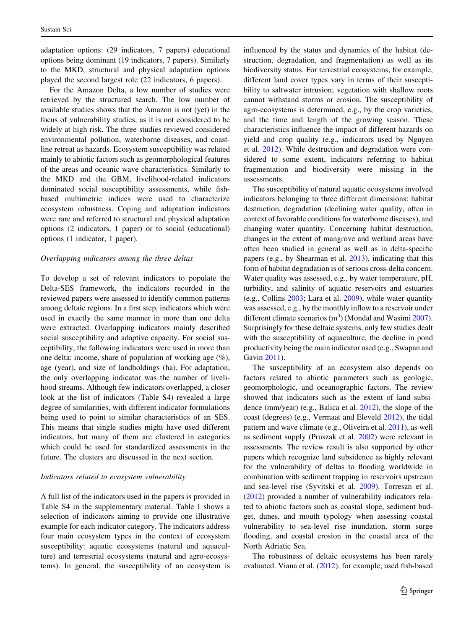adaptation options: (29 indicators, 7 papers) educational options being dominant (19 indicators, 7 papers). Similarly to the MKD, structural and physical adaptation options played the second largest role (22 indicators, 6 papers).

For the Amazon Delta, a low number of studies were retrieved by the structured search. The low number of available studies shows that the Amazon is not (yet) in the focus of vulnerability studies, as it is not considered to be widely at high risk. The three studies reviewed considered environmental pollution, waterborne diseases, and coastline retreat as hazards. Ecosystem susceptibility was related mainly to abiotic factors such as geomorphological features of the areas and oceanic wave characteristics. Similarly to the MKD and the GBM, livelihood-related indicators dominated social susceptibility assessments, while fishbased multimetric indices were used to characterize ecosystem robustness. Coping and adaptation indicators were rare and referred to structural and physical adaptation options (2 indicators, 1 paper) or to social (educational) options (1 indicator, 1 paper).

#### Overlapping indicators among the three deltas

To develop a set of relevant indicators to populate the Delta-SES framework, the indicators recorded in the reviewed papers were assessed to identify common patterns among deltaic regions. In a first step, indicators which were used in exactly the same manner in more than one delta were extracted. Overlapping indicators mainly described social susceptibility and adaptive capacity. For social susceptibility, the following indicators were used in more than one delta: income, share of population of working age  $(\%)$ , age (year), and size of landholdings (ha). For adaptation, the only overlapping indicator was the number of livelihood streams. Although few indicators overlapped, a closer look at the list of indicators (Table S4) revealed a large degree of similarities, with different indicator formulations being used to point to similar characteristics of an SES. This means that single studies might have used different indicators, but many of them are clustered in categories which could be used for standardized assessments in the future. The clusters are discussed in the next section.

#### Indicators related to ecosystem vulnerability

A full list of the indicators used in the papers is provided in Table S4 in the supplementary material. Table [1](#page-7-0) shows a selection of indicators aiming to provide one illustrative example for each indicator category. The indicators address four main ecosystem types in the context of ecosystem susceptibility: aquatic ecosystems (natural and aquaculture) and terrestrial ecosystems (natural and agro-ecosystems). In general, the susceptibility of an ecosystem is influenced by the status and dynamics of the habitat (destruction, degradation, and fragmentation) as well as its biodiversity status. For terrestrial ecosystems, for example, different land cover types vary in terms of their susceptibility to saltwater intrusion; vegetation with shallow roots cannot withstand storms or erosion. The susceptibility of agro-ecosystems is determined, e.g., by the crop varieties, and the time and length of the growing season. These characteristics influence the impact of different hazards on yield and crop quality (e.g., indicators used by Nguyen et al. [2012\)](#page-13-0). While destruction and degradation were considered to some extent, indicators referring to habitat fragmentation and biodiversity were missing in the assessments.

The susceptibility of natural aquatic ecosystems involved indicators belonging to three different dimensions: habitat destruction, degradation (declining water quality, often in context of favorable conditions for waterborne diseases), and changing water quantity. Concerning habitat destruction, changes in the extent of mangrove and wetland areas have often been studied in general as well as in delta-specific papers (e.g., by Shearman et al. [2013](#page-14-0)), indicating that this form of habitat degradation is of serious cross-delta concern. Water quality was assessed, e.g., by water temperature, pH, turbidity, and salinity of aquatic reservoirs and estuaries (e.g., Collins [2003](#page-12-0); Lara et al. [2009\)](#page-13-0), while water quantity was assessed, e.g., by the monthly inflow to a reservoir under different climate scenarios  $(m^3)$  (Mondal and Wasimi [2007](#page-13-0)). Surprisingly for these deltaic systems, only few studies dealt with the susceptibility of aquaculture, the decline in pond productivity being the main indicator used (e.g., Swapan and Gavin [2011](#page-14-0)).

The susceptibility of an ecosystem also depends on factors related to abiotic parameters such as geologic, geomorphologic, and oceanographic factors. The review showed that indicators such as the extent of land subsidence (mm/year) (e.g., Balica et al. [2012\)](#page-11-0), the slope of the coast (degrees) (e.g., Vermaat and Eleveld [2012](#page-14-0)), the tidal pattern and wave climate (e.g., Oliveira et al. [2011](#page-13-0)), as well as sediment supply (Pruszak et al. [2002\)](#page-14-0) were relevant in assessments. The review result is also supported by other papers which recognize land subsidence as highly relevant for the vulnerability of deltas to flooding worldwide in combination with sediment trapping in reservoirs upstream and sea-level rise (Syvitski et al. [2009\)](#page-14-0). Torresan et al. [\(2012](#page-14-0)) provided a number of vulnerability indicators related to abiotic factors such as coastal slope, sediment budget, dunes, and mouth typology when assessing coastal vulnerability to sea-level rise inundation, storm surge flooding, and coastal erosion in the coastal area of the North Adriatic Sea.

The robustness of deltaic ecosystems has been rarely evaluated. Viana et al. [\(2012](#page-15-0)), for example, used fish-based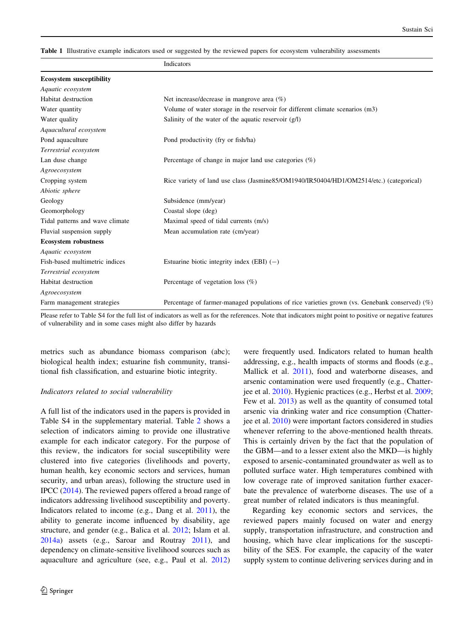<span id="page-7-0"></span>Table 1 Illustrative example indicators used or suggested by the reviewed papers for ecosystem vulnerability assessments

|                                 | Indicators                                                                                         |  |
|---------------------------------|----------------------------------------------------------------------------------------------------|--|
| <b>Ecosystem susceptibility</b> |                                                                                                    |  |
| Aquatic ecosystem               |                                                                                                    |  |
| Habitat destruction             | Net increase/decrease in mangrove area $(\%)$                                                      |  |
| Water quantity                  | Volume of water storage in the reservoir for different climate scenarios (m3)                      |  |
| Water quality                   | Salinity of the water of the aquatic reservoir $(g/I)$                                             |  |
| Aquacultural ecosystem          |                                                                                                    |  |
| Pond aquaculture                | Pond productivity (fry or fish/ha)                                                                 |  |
| Terrestrial ecosystem           |                                                                                                    |  |
| Lan duse change                 | Percentage of change in major land use categories $(\%)$                                           |  |
| Agroecosystem                   |                                                                                                    |  |
| Cropping system                 | Rice variety of land use class (Jasmine85/OM1940/IR50404/HD1/OM2514/etc.) (categorical)            |  |
| Abiotic sphere                  |                                                                                                    |  |
| Geology                         | Subsidence (mm/year)                                                                               |  |
| Geomorphology                   | Coastal slope (deg)                                                                                |  |
| Tidal patterns and wave climate | Maximal speed of tidal currents (m/s)                                                              |  |
| Fluvial suspension supply       | Mean accumulation rate (cm/year)                                                                   |  |
| <b>Ecosystem robustness</b>     |                                                                                                    |  |
| Aquatic ecosystem               |                                                                                                    |  |
| Fish-based multimetric indices  | Estuarine biotic integrity index (EBI) $(-)$                                                       |  |
| Terrestrial ecosystem           |                                                                                                    |  |
| Habitat destruction             | Percentage of vegetation loss $(\%)$                                                               |  |
| Agroecosystem                   |                                                                                                    |  |
| Farm management strategies      | Percentage of farmer-managed populations of rice varieties grown (vs. Genebank conserved) ( $\%$ ) |  |

Please refer to Table S4 for the full list of indicators as well as for the references. Note that indicators might point to positive or negative features of vulnerability and in some cases might also differ by hazards

metrics such as abundance biomass comparison (abc); biological health index; estuarine fish community, transitional fish classification, and estuarine biotic integrity.

#### Indicators related to social vulnerability

A full list of the indicators used in the papers is provided in Table S4 in the supplementary material. Table [2](#page-8-0) shows a selection of indicators aiming to provide one illustrative example for each indicator category. For the purpose of this review, the indicators for social susceptibility were clustered into five categories (livelihoods and poverty, human health, key economic sectors and services, human security, and urban areas), following the structure used in IPCC ([2014\)](#page-13-0). The reviewed papers offered a broad range of indicators addressing livelihood susceptibility and poverty. Indicators related to income (e.g., Dang et al. [2011](#page-12-0)), the ability to generate income influenced by disability, age structure, and gender (e.g., Balica et al. [2012;](#page-11-0) Islam et al. [2014a](#page-13-0)) assets (e.g., Saroar and Routray [2011](#page-14-0)), and dependency on climate-sensitive livelihood sources such as aquaculture and agriculture (see, e.g., Paul et al. [2012\)](#page-13-0) were frequently used. Indicators related to human health addressing, e.g., health impacts of storms and floods (e.g., Mallick et al. [2011](#page-13-0)), food and waterborne diseases, and arsenic contamination were used frequently (e.g., Chatterjee et al. [2010](#page-12-0)). Hygienic practices (e.g., Herbst et al. [2009](#page-12-0); Few et al. [2013\)](#page-12-0) as well as the quantity of consumed total arsenic via drinking water and rice consumption (Chatterjee et al. [2010](#page-12-0)) were important factors considered in studies whenever referring to the above-mentioned health threats. This is certainly driven by the fact that the population of the GBM—and to a lesser extent also the MKD—is highly exposed to arsenic-contaminated groundwater as well as to polluted surface water. High temperatures combined with low coverage rate of improved sanitation further exacerbate the prevalence of waterborne diseases. The use of a great number of related indicators is thus meaningful.

Regarding key economic sectors and services, the reviewed papers mainly focused on water and energy supply, transportation infrastructure, and construction and housing, which have clear implications for the susceptibility of the SES. For example, the capacity of the water supply system to continue delivering services during and in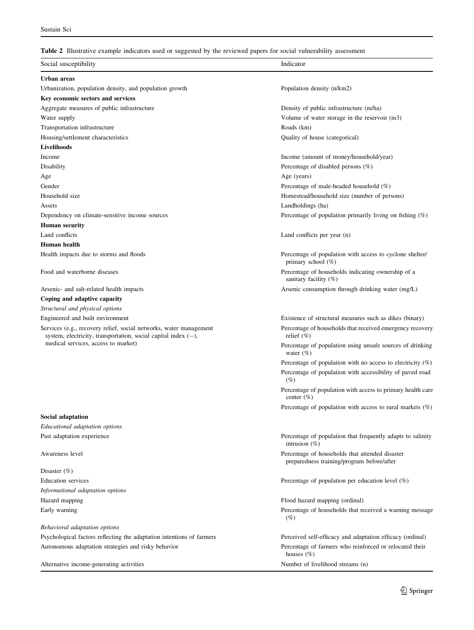# <span id="page-8-0"></span>Table 2 Illustrative example indicators used or suggested by the reviewed papers for social vulnerability assessment

| Social susceptibility                                                                                                                   | Indicator                                                                                     |
|-----------------------------------------------------------------------------------------------------------------------------------------|-----------------------------------------------------------------------------------------------|
| Urban areas                                                                                                                             |                                                                                               |
| Urbanization, population density, and population growth                                                                                 | Population density (n/km2)                                                                    |
| Key economic sectors and services                                                                                                       |                                                                                               |
| Aggregate measures of public infrastructure                                                                                             | Density of public infrastructure (m/ha)                                                       |
| Water supply                                                                                                                            | Volume of water storage in the reservoir (m3)                                                 |
| Transportation infrastructure                                                                                                           | Roads (km)                                                                                    |
| Housing/settlement characteristics                                                                                                      | Quality of house (categorical)                                                                |
| Livelihoods                                                                                                                             |                                                                                               |
| Income                                                                                                                                  | Income (amount of money/household/year)                                                       |
| Disability                                                                                                                              | Percentage of disabled persons $(\%)$                                                         |
| Age                                                                                                                                     | Age (years)                                                                                   |
| Gender                                                                                                                                  | Percentage of male-headed household $(\%)$                                                    |
| Household size                                                                                                                          | Homestead/household size (number of persons)                                                  |
| Assets                                                                                                                                  | Landholdings (ha)                                                                             |
| Dependency on climate-sensitive income sources                                                                                          | Percentage of population primarily living on fishing $(\%)$                                   |
| <b>Human security</b>                                                                                                                   |                                                                                               |
| Land conflicts                                                                                                                          | Land conflicts per year $(n)$                                                                 |
| Human health                                                                                                                            |                                                                                               |
| Health impacts due to storms and floods                                                                                                 | Percentage of population with access to cyclone shelter/<br>primary school (%)                |
| Food and waterborne diseases                                                                                                            | Percentage of households indicating ownership of a<br>sanitary facility (%)                   |
| Arsenic- and salt-related health impacts                                                                                                | Arsenic consumption through drinking water (mg/L)                                             |
| Coping and adaptive capacity                                                                                                            |                                                                                               |
| Structural and physical options                                                                                                         |                                                                                               |
| Engineered and built environment                                                                                                        | Existence of structural measures such as dikes (binary)                                       |
| Services (e.g., recovery relief, social networks, water management<br>system, electricity, transportation, social capital index $(-)$ , | Percentage of households that received emergency recovery<br>relief $(\% )$                   |
| medical services, access to market)                                                                                                     | Percentage of population using unsafe sources of drinking<br>water $(\% )$                    |
|                                                                                                                                         | Percentage of population with no access to electricity $(\%)$                                 |
|                                                                                                                                         | Percentage of population with accessibility of paved road<br>$(\%)$                           |
|                                                                                                                                         | Percentage of population with access to primary health care<br>center $(\% )$                 |
|                                                                                                                                         | Percentage of population with access to rural markets $(\%)$                                  |
| Social adaptation                                                                                                                       |                                                                                               |
| Educational adaptation options                                                                                                          |                                                                                               |
| Past adaptation experience                                                                                                              | Percentage of population that frequently adapts to salinity<br>intrusion $(\% )$              |
| Awareness level                                                                                                                         | Percentage of households that attended disaster<br>preparedness training/program before/after |
| Disaster $(\%)$                                                                                                                         |                                                                                               |
| <b>Education</b> services                                                                                                               | Percentage of population per education level $(\%)$                                           |
| Informational adaptation options                                                                                                        |                                                                                               |
| Hazard mapping                                                                                                                          | Flood hazard mapping (ordinal)                                                                |
| Early warning                                                                                                                           | Percentage of households that received a warning message<br>(%)                               |
| Behavioral adaptation options                                                                                                           |                                                                                               |
| Psychological factors reflecting the adaptation intentions of farmers                                                                   | Perceived self-efficacy and adaptation efficacy (ordinal)                                     |
| Autonomous adaptation strategies and risky behavior                                                                                     | Percentage of farmers who reinforced or relocated their<br>houses $(\%)$                      |
| Alternative income-generating activities                                                                                                | Number of livelihood streams (n)                                                              |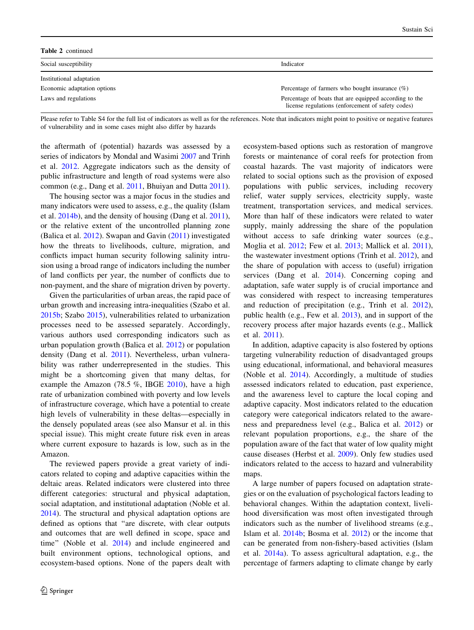| <b>Table 2</b> continued    |                                                                                                             |  |
|-----------------------------|-------------------------------------------------------------------------------------------------------------|--|
| Social susceptibility       | Indicator                                                                                                   |  |
| Institutional adaptation    |                                                                                                             |  |
| Economic adaptation options | Percentage of farmers who bought insurance $(\%)$                                                           |  |
| Laws and regulations        | Percentage of boats that are equipped according to the<br>license regulations (enforcement of safety codes) |  |

Please refer to Table S4 for the full list of indicators as well as for the references. Note that indicators might point to positive or negative features of vulnerability and in some cases might also differ by hazards

the aftermath of (potential) hazards was assessed by a series of indicators by Mondal and Wasimi [2007](#page-13-0) and Trinh et al. [2012](#page-14-0). Aggregate indicators such as the density of public infrastructure and length of road systems were also common (e.g., Dang et al. [2011](#page-12-0), Bhuiyan and Dutta [2011](#page-11-0)).

The housing sector was a major focus in the studies and many indicators were used to assess, e.g., the quality (Islam et al. [2014b\)](#page-13-0), and the density of housing (Dang et al. [2011](#page-12-0)), or the relative extent of the uncontrolled planning zone (Balica et al. [2012\)](#page-11-0). Swapan and Gavin ([2011\)](#page-14-0) investigated how the threats to livelihoods, culture, migration, and conflicts impact human security following salinity intrusion using a broad range of indicators including the number of land conflicts per year, the number of conflicts due to non-payment, and the share of migration driven by poverty.

Given the particularities of urban areas, the rapid pace of urban growth and increasing intra-inequalities (Szabo et al. [2015b;](#page-14-0) Szabo [2015](#page-14-0)), vulnerabilities related to urbanization processes need to be assessed separately. Accordingly, various authors used corresponding indicators such as urban population growth (Balica et al. [2012\)](#page-11-0) or population density (Dang et al. [2011\)](#page-12-0). Nevertheless, urban vulnerability was rather underrepresented in the studies. This might be a shortcoming given that many deltas, for example the Amazon (78.5 %, IBGE [2010\)](#page-12-0), have a high rate of urbanization combined with poverty and low levels of infrastructure coverage, which have a potential to create high levels of vulnerability in these deltas—especially in the densely populated areas (see also Mansur et al. in this special issue). This might create future risk even in areas where current exposure to hazards is low, such as in the Amazon.

The reviewed papers provide a great variety of indicators related to coping and adaptive capacities within the deltaic areas. Related indicators were clustered into three different categories: structural and physical adaptation, social adaptation, and institutional adaptation (Noble et al. [2014\)](#page-13-0). The structural and physical adaptation options are defined as options that ''are discrete, with clear outputs and outcomes that are well defined in scope, space and time'' (Noble et al. [2014](#page-13-0)) and include engineered and built environment options, technological options, and ecosystem-based options. None of the papers dealt with ecosystem-based options such as restoration of mangrove forests or maintenance of coral reefs for protection from coastal hazards. The vast majority of indicators were related to social options such as the provision of exposed populations with public services, including recovery relief, water supply services, electricity supply, waste treatment, transportation services, and medical services. More than half of these indicators were related to water supply, mainly addressing the share of the population without access to safe drinking water sources (e.g., Moglia et al. [2012;](#page-13-0) Few et al. [2013](#page-12-0); Mallick et al. [2011](#page-13-0)), the wastewater investment options (Trinh et al. [2012\)](#page-14-0), and the share of population with access to (useful) irrigation services (Dang et al. [2014\)](#page-12-0). Concerning coping and adaptation, safe water supply is of crucial importance and was considered with respect to increasing temperatures and reduction of precipitation (e.g., Trinh et al. [2012](#page-14-0)), public health (e.g., Few et al. [2013\)](#page-12-0), and in support of the recovery process after major hazards events (e.g., Mallick et al. [2011](#page-13-0)).

In addition, adaptive capacity is also fostered by options targeting vulnerability reduction of disadvantaged groups using educational, informational, and behavioral measures (Noble et al. [2014](#page-13-0)). Accordingly, a multitude of studies assessed indicators related to education, past experience, and the awareness level to capture the local coping and adaptive capacity. Most indicators related to the education category were categorical indicators related to the awareness and preparedness level (e.g., Balica et al. [2012](#page-11-0)) or relevant population proportions, e.g., the share of the population aware of the fact that water of low quality might cause diseases (Herbst et al. [2009](#page-12-0)). Only few studies used indicators related to the access to hazard and vulnerability maps.

A large number of papers focused on adaptation strategies or on the evaluation of psychological factors leading to behavioral changes. Within the adaptation context, livelihood diversification was most often investigated through indicators such as the number of livelihood streams (e.g., Islam et al. [2014b;](#page-13-0) Bosma et al. [2012\)](#page-12-0) or the income that can be generated from non-fishery-based activities (Islam et al. [2014a\)](#page-13-0). To assess agricultural adaptation, e.g., the percentage of farmers adapting to climate change by early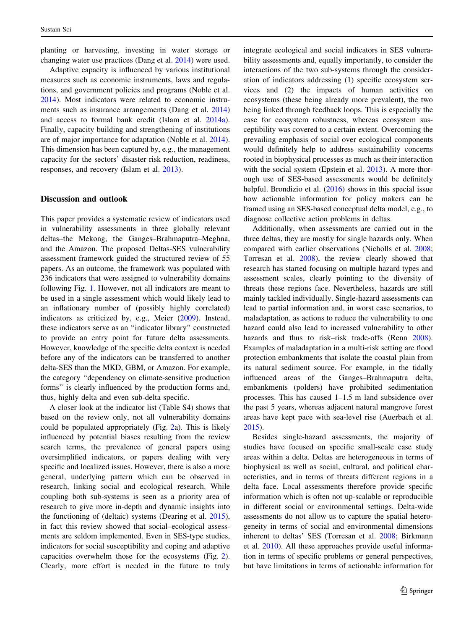planting or harvesting, investing in water storage or changing water use practices (Dang et al. [2014](#page-12-0)) were used.

Adaptive capacity is influenced by various institutional measures such as economic instruments, laws and regulations, and government policies and programs (Noble et al. [2014\)](#page-13-0). Most indicators were related to economic instruments such as insurance arrangements (Dang et al. [2014\)](#page-12-0) and access to formal bank credit (Islam et al. [2014a](#page-13-0)). Finally, capacity building and strengthening of institutions are of major importance for adaptation (Noble et al. [2014](#page-13-0)). This dimension has been captured by, e.g., the management capacity for the sectors' disaster risk reduction, readiness, responses, and recovery (Islam et al. [2013](#page-13-0)).

## Discussion and outlook

This paper provides a systematic review of indicators used in vulnerability assessments in three globally relevant deltas–the Mekong, the Ganges–Brahmaputra–Meghna, and the Amazon. The proposed Deltas-SES vulnerability assessment framework guided the structured review of 55 papers. As an outcome, the framework was populated with 236 indicators that were assigned to vulnerability domains following Fig. [1](#page-4-0). However, not all indicators are meant to be used in a single assessment which would likely lead to an inflationary number of (possibly highly correlated) indicators as criticized by, e.g., Meier [\(2009](#page-13-0)). Instead, these indicators serve as an ''indicator library'' constructed to provide an entry point for future delta assessments. However, knowledge of the specific delta context is needed before any of the indicators can be transferred to another delta-SES than the MKD, GBM, or Amazon. For example, the category ''dependency on climate-sensitive production forms'' is clearly influenced by the production forms and, thus, highly delta and even sub-delta specific.

A closer look at the indicator list (Table S4) shows that based on the review only, not all vulnerability domains could be populated appropriately (Fig. [2](#page-5-0)a). This is likely influenced by potential biases resulting from the review search terms, the prevalence of general papers using oversimplified indicators, or papers dealing with very specific and localized issues. However, there is also a more general, underlying pattern which can be observed in research, linking social and ecological research. While coupling both sub-systems is seen as a priority area of research to give more in-depth and dynamic insights into the functioning of (deltaic) systems (Dearing et al. [2015](#page-12-0)), in fact this review showed that social–ecological assessments are seldom implemented. Even in SES-type studies, indicators for social susceptibility and coping and adaptive capacities overwhelm those for the ecosystems (Fig. [2](#page-5-0)). Clearly, more effort is needed in the future to truly integrate ecological and social indicators in SES vulnerability assessments and, equally importantly, to consider the interactions of the two sub-systems through the consideration of indicators addressing (1) specific ecosystem services and (2) the impacts of human activities on ecosystems (these being already more prevalent), the two being linked through feedback loops. This is especially the case for ecosystem robustness, whereas ecosystem susceptibility was covered to a certain extent. Overcoming the prevailing emphasis of social over ecological components would definitely help to address sustainability concerns rooted in biophysical processes as much as their interaction with the social system (Epstein et al. [2013](#page-12-0)). A more thorough use of SES-based assessments would be definitely helpful. Brondizio et al. [\(2016](#page-12-0)) shows in this special issue how actionable information for policy makers can be framed using an SES-based conceptual delta model, e.g., to diagnose collective action problems in deltas.

Additionally, when assessments are carried out in the three deltas, they are mostly for single hazards only. When compared with earlier observations (Nicholls et al. [2008](#page-13-0); Torresan et al. [2008](#page-14-0)), the review clearly showed that research has started focusing on multiple hazard types and assessment scales, clearly pointing to the diversity of threats these regions face. Nevertheless, hazards are still mainly tackled individually. Single-hazard assessments can lead to partial information and, in worst case scenarios, to maladaptation, as actions to reduce the vulnerability to one hazard could also lead to increased vulnerability to other hazards and thus to risk–risk trade-offs (Renn [2008](#page-14-0)). Examples of maladaptation in a multi-risk setting are flood protection embankments that isolate the coastal plain from its natural sediment source. For example, in the tidally influenced areas of the Ganges–Brahmaputra delta, embankments (polders) have prohibited sedimentation processes. This has caused 1–1.5 m land subsidence over the past 5 years, whereas adjacent natural mangrove forest areas have kept pace with sea-level rise (Auerbach et al. [2015](#page-11-0)).

Besides single-hazard assessments, the majority of studies have focused on specific small-scale case study areas within a delta. Deltas are heterogeneous in terms of biophysical as well as social, cultural, and political characteristics, and in terms of threats different regions in a delta face. Local assessments therefore provide specific information which is often not up-scalable or reproducible in different social or environmental settings. Delta-wide assessments do not allow us to capture the spatial heterogeneity in terms of social and environmental dimensions inherent to deltas' SES (Torresan et al. [2008](#page-14-0); Birkmann et al. [2010\)](#page-11-0). All these approaches provide useful information in terms of specific problems or general perspectives, but have limitations in terms of actionable information for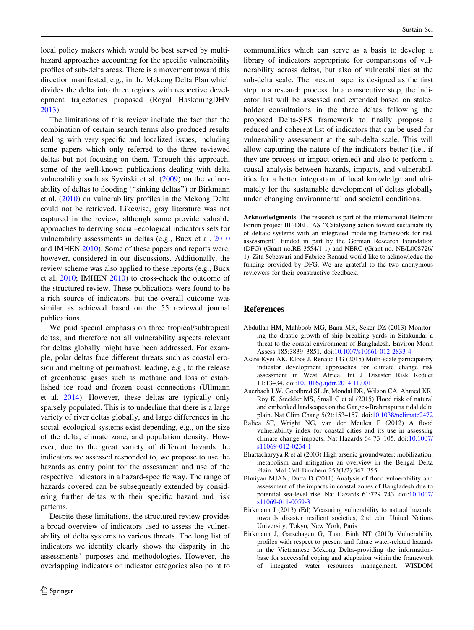<span id="page-11-0"></span>local policy makers which would be best served by multihazard approaches accounting for the specific vulnerability profiles of sub-delta areas. There is a movement toward this direction manifested, e.g., in the Mekong Delta Plan which divides the delta into three regions with respective development trajectories proposed (Royal HaskoningDHV [2013\)](#page-14-0).

The limitations of this review include the fact that the combination of certain search terms also produced results dealing with very specific and localized issues, including some papers which only referred to the three reviewed deltas but not focusing on them. Through this approach, some of the well-known publications dealing with delta vulnerability such as Syvitski et al. ([2009\)](#page-14-0) on the vulnerability of deltas to flooding (''sinking deltas'') or Birkmann et al. (2010) on vulnerability profiles in the Mekong Delta could not be retrieved. Likewise, gray literature was not captured in the review, although some provide valuable approaches to deriving social–ecological indicators sets for vulnerability assessments in deltas (e.g., Bucx et al. [2010](#page-12-0) and IMHEN [2010](#page-12-0)). Some of these papers and reports were, however, considered in our discussions. Additionally, the review scheme was also applied to these reports (e.g., Bucx et al. [2010](#page-12-0); IMHEN [2010\)](#page-12-0) to cross-check the outcome of the structured review. These publications were found to be a rich source of indicators, but the overall outcome was similar as achieved based on the 55 reviewed journal publications.

We paid special emphasis on three tropical/subtropical deltas, and therefore not all vulnerability aspects relevant for deltas globally might have been addressed. For example, polar deltas face different threats such as coastal erosion and melting of permafrost, leading, e.g., to the release of greenhouse gases such as methane and loss of established ice road and frozen coast connections (Ullmann et al. [2014\)](#page-14-0). However, these deltas are typically only sparsely populated. This is to underline that there is a large variety of river deltas globally, and large differences in the social–ecological systems exist depending, e.g., on the size of the delta, climate zone, and population density. However, due to the great variety of different hazards the indicators we assessed responded to, we propose to use the hazards as entry point for the assessment and use of the respective indicators in a hazard-specific way. The range of hazards covered can be subsequently extended by considering further deltas with their specific hazard and risk patterns.

Despite these limitations, the structured review provides a broad overview of indicators used to assess the vulnerability of delta systems to various threats. The long list of indicators we identify clearly shows the disparity in the assessments' purposes and methodologies. However, the overlapping indicators or indicator categories also point to

communalities which can serve as a basis to develop a library of indicators appropriate for comparisons of vulnerability across deltas, but also of vulnerabilities at the sub-delta scale. The present paper is designed as the first step in a research process. In a consecutive step, the indicator list will be assessed and extended based on stakeholder consultations in the three deltas following the proposed Delta-SES framework to finally propose a reduced and coherent list of indicators that can be used for vulnerability assessment at the sub-delta scale. This will allow capturing the nature of the indicators better (i.e., if they are process or impact oriented) and also to perform a causal analysis between hazards, impacts, and vulnerabilities for a better integration of local knowledge and ultimately for the sustainable development of deltas globally under changing environmental and societal conditions.

Acknowledgments The research is part of the international Belmont Forum project BF-DELTAS ''Catalyzing action toward sustainability of deltaic systems with an integrated modeling framework for risk assessment'' funded in part by the German Research Foundation (DFG) (Grant no.RE 3554/1-1) and NERC (Grant no. NE/L008726/ 1). Zita Sebesvari and Fabrice Renaud would like to acknowledge the funding provided by DFG. We are grateful to the two anonymous reviewers for their constructive feedback.

#### References

- Abdullah HM, Mahboob MG, Banu MR, Seker DZ (2013) Monitoring the drastic growth of ship breaking yards in Sitakunda: a threat to the coastal environment of Bangladesh. Environ Monit Assess 185:3839–3851. doi[:10.1007/s10661-012-2833-4](http://dx.doi.org/10.1007/s10661-012-2833-4)
- Asare-Kyei AK, Kloos J, Renaud FG (2015) Multi-scale participatory indicator development approaches for climate change risk assessment in West Africa. Int J Disaster Risk Reduct 11:13–34. doi[:10.1016/j.ijdrr.2014.11.001](http://dx.doi.org/10.1016/j.ijdrr.2014.11.001)
- Auerbach LW, Goodbred SL Jr, Mondal DR, Wilson CA, Ahmed KR, Roy K, Steckler MS, Small C et al (2015) Flood risk of natural and embanked landscapes on the Ganges-Brahmaputra tidal delta plain. Nat Clim Chang 5(2):153–157. doi[:10.1038/nclimate2472](http://dx.doi.org/10.1038/nclimate2472)
- Balica SF, Wright NG, van der Meulen F (2012) A flood vulnerability index for coastal cities and its use in assessing climate change impacts. Nat Hazards 64:73–105. doi:[10.1007/](http://dx.doi.org/10.1007/s11069-012-0234-1) [s11069-012-0234-1](http://dx.doi.org/10.1007/s11069-012-0234-1)
- Bhattacharyya R et al (2003) High arsenic groundwater: mobilization, metabolism and mitigation–an overview in the Bengal Delta Plain. Mol Cell Biochem 253(1/2):347–355
- Bhuiyan MJAN, Dutta D (2011) Analysis of flood vulnerability and assessment of the impacts in coastal zones of Bangladesh due to potential sea-level rise. Nat Hazards 61:729–743. doi[:10.1007/](http://dx.doi.org/10.1007/s11069-011-0059-3) [s11069-011-0059-3](http://dx.doi.org/10.1007/s11069-011-0059-3)
- Birkmann J (2013) (Ed) Measuring vulnerability to natural hazards: towards disaster resilient societies, 2nd edn, United Nations University, Tokyo, New York, Paris
- Birkmann J, Garschagen G, Tuan Binh NT (2010) Vulnerability profiles with respect to present and future water-related hazards in the Vietnamese Mekong Delta–providing the informationbase for successful coping and adaptation within the framework of integrated water resources management. WISDOM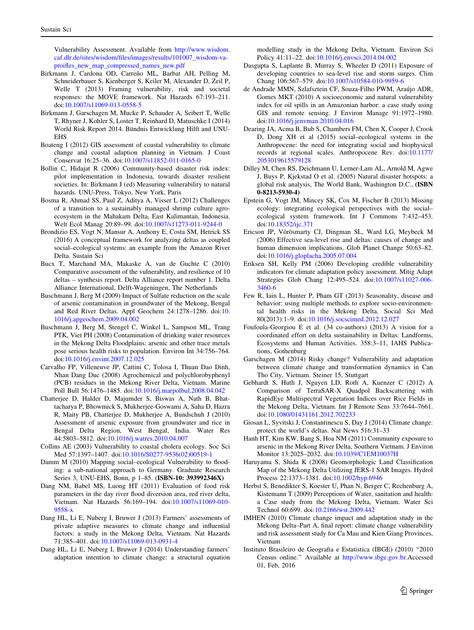<span id="page-12-0"></span>Vulnerability Assessment. Available from [http://www.wisdom.](http://www.wisdom.caf.dlr.de/sites/wisdom/files/images/results/101007_wisdom-va-proifles_new_map_compressed_names_new.pdf) [caf.dlr.de/sites/wisdom/files/images/results/101007\\_wisdom-va](http://www.wisdom.caf.dlr.de/sites/wisdom/files/images/results/101007_wisdom-va-proifles_new_map_compressed_names_new.pdf)[proifles\\_new\\_map\\_compressed\\_names\\_new.pdf](http://www.wisdom.caf.dlr.de/sites/wisdom/files/images/results/101007_wisdom-va-proifles_new_map_compressed_names_new.pdf)

- Birkmann J, Cardona OD, Carreño ML, Barbat AH, Pelling M, Schneiderbauer S, Kienberger S, Keiler M, Alexander D, Zeil P, Welle T (2013) Framing vulnerability, risk and societal responses: the MOVE framework. Nat Hazards 67:193–211. doi[:10.1007/s11069-013-0558-5](http://dx.doi.org/10.1007/s11069-013-0558-5)
- Birkmann J, Garschagen M, Mucke P, Schauder A, Seibert T, Welle T, Rhyner J, Kohler S, Loster T, Reinhard D, Matuschke I (2014) World Risk Report 2014. Bündnis Entwicklung Hilft and UNU-**EHS**
- Boateng I (2012) GIS assessment of coastal vulnerability to climate change and coastal adaption planning in Vietnam. J Coast Conservat 16:25–36. doi[:10.1007/s11852-011-0165-0](http://dx.doi.org/10.1007/s11852-011-0165-0)
- Bollin C, Hidajat R (2006) Community-based disaster risk index: pilot implementation in Indonesia, towards disaster resilient societies. In: Birkmann J (ed) Measuring vulnerability to natural hazards. UNU-Press, Tokyo, New York, Paris
- Bosma R, Ahmad SS, Paul Z, Aditya A, Visser L (2012) Challenges of a transition to a sustainably managed shrimp culture agroecosystem in the Mahakam Delta, East Kalimantan, Indonesia. Welt Ecol Manag 20:89–99. doi[:10.1007/s11273-011-9244-0](http://dx.doi.org/10.1007/s11273-011-9244-0)
- Brondizio ES, Vogt N, Mansur A, Anthony E, Costa SM, Hetrick SS (2016) A conceptual framework for analyzing deltas as coupled social–ecological systems: an example from the Amazon River Delta. Sustain Sci
- Bucx T, Marchand MA, Makaske A, van de Guchte C (2010) Comparative assessment of the vulnerability, and resilience of 10 deltas – synthesis report. Delta Alliance report number 1. Delta Alliance International, Delft-Wageningen, The Netherlands
- Buschmann J, Berg M (2009) Impact of Sulfate reduction on the scale of arsenic contamination in groundwater of the Mekong, Bengal and Red River Deltas. Appl Geochem 24:1278–1286. doi:[10.](http://dx.doi.org/10.1016/j.apgeochem.2009.04.002) [1016/j.apgeochem.2009.04.002](http://dx.doi.org/10.1016/j.apgeochem.2009.04.002)
- Buschmann J, Berg M, Stengel C, Winkel L, Sampson ML, Trang PTK, Viet PH (2008) Contamination of drinking water resources in the Mekong Delta Floodplains: arsenic and other trace metals pose serious health risks to population. Environ Int 34:756–764. doi[:10.1016/j.envint.2007.12.025](http://dx.doi.org/10.1016/j.envint.2007.12.025)
- Carvalho FP, Villeneuve JP, Cattini C, Tolosa I, Thuan Dao Dinh, Nhan Dang Duc (2008) Agrochemical and polychlorobyphenyl (PCB) residues in the Mekong River Delta, Vietnam. Marine Poll Bull 56:1476–1485. doi[:10.1016/j.marpolbul.2008.04.042](http://dx.doi.org/10.1016/j.marpolbul.2008.04.042)
- Chatterjee D, Halder D, Majumder S, Biswas A, Nath B, Bhattacharya P, Bhowmick S, Mukherjee-Goswami A, Saha D, Hazra R, Maity PB, Chatterjee D, Mukherjee A, Bundschuh J (2010) Assessment of arsenic exposure from groundwater and rice in Bengal Delta Region, West Bengal, India. Water Res 44:5803–5812. doi[:10.1016/j.watres.2010.04.007](http://dx.doi.org/10.1016/j.watres.2010.04.007)
- Collins AE (2003) Vulnerability to coastal cholera ecology. Soc Sci Med 57:1397–1407. doi:[10.1016/S0277-9536\(02\)00519-1](http://dx.doi.org/10.1016/S0277-9536(02)00519-1)
- Damm M (2010) Mapping social–ecological Vulnerability to flooding: a sub-national approach to Germany. Graduate Research Series 3, UNU-EHS, Bonn, p 1–85. (ISBN-10: 393992346X)
- Dang NM, Babel MS, Luong HT (2011) Evaluation of food risk parameters in the day river flood diversion area, red river delta, Vietnam. Nat Hazards 56:169–194. doi[:10.1007/s11069-010-](http://dx.doi.org/10.1007/s11069-010-9558-x) [9558-x](http://dx.doi.org/10.1007/s11069-010-9558-x)
- Dang HL, Li E, Nuberg I, Bruwer J (2013) Farmers' assessments of private adaptive measures to climate change and influential factors: a study in the Mekong Delta, Vietnam. Nat Hazards 71:385–401. doi:[10.1007/s11069-013-0931-4](http://dx.doi.org/10.1007/s11069-013-0931-4)
- Dang HL, Li E, Nuberg I, Bruwer J (2014) Understanding farmers' adaptation intention to climate change: a structural equation

modelling study in the Mekong Delta, Vietnam. Environ Sci Policy 41:11–22. doi:[10.1016/j.envsci.2014.04.002](http://dx.doi.org/10.1016/j.envsci.2014.04.002)

- Dasgupta S, Laplante B, Murray S, Wheeler D (2011) Exposure of developing countries to sea-level rise and storm surges. Clim Chang 106:567–579. doi[:10.1007/s10584-010-9959-6](http://dx.doi.org/10.1007/s10584-010-9959-6)
- de Andrade MMN, Szlafsztein CF, Souza-Filho PWM, Arau´jo ADR, Gomes MKT (2010) A socioeconomic and natural vulnerability index for oil spills in an Amazonian harbor: a case study using GIS and remote sensing. J Environ Manage 91:1972–1980. doi[:10.1016/j.jenvman.2010.04.016](http://dx.doi.org/10.1016/j.jenvman.2010.04.016)
- Dearing JA, Acma B, Bub S, Chambers FM, Chen X, Cooper J, Crook D, Dong XH et al (2015) social–ecological systems in the Anthropocene: the need for integrating social and biophysical records at regional scales. Anthropocene Rev. doi[:10.1177/](http://dx.doi.org/10.1177/2053019615579128) [2053019615579128](http://dx.doi.org/10.1177/2053019615579128)
- Dilley M, Chen RS, Deichmann U, Lerner-Lam AL, Arnold M, Agwe J, Buys P, Kjekstad O et al. (2005) Natural disaster hotspots: a global risk analysis, The World Bank, Washington D.C., (ISBN 0-8213-5930-4)
- Epstein G, Vogt JM, Mincey SK, Cox M, Fischer B (2013) Missing ecology: integrating ecological perspectives with the social– ecological system framework. Int J Commons 7:432–453. doi[:10.18352/ijc.371](http://dx.doi.org/10.18352/ijc.371)
- Ericson JP, Vörösmarty CJ, Dingman SL, Ward LG, Meybeck M (2006) Effective sea-level rise and deltas: causes of change and human dimension implications. Glob Planet Change 50:63–82. doi[:10.1016/j.gloplacha.2005.07.004](http://dx.doi.org/10.1016/j.gloplacha.2005.07.004)
- Eriksen SH, Kelly PM (2006) Developing credible vulnerability indicators for climate adaptation policy assessment. Mitig Adapt Strategies Glob Chang 12:495–524. doi:[10.1007/s11027-006-](http://dx.doi.org/10.1007/s11027-006-3460-6) [3460-6](http://dx.doi.org/10.1007/s11027-006-3460-6)
- Few R, Iain L, Hunter P, Pham GT (2013) Seasonality, disease and behavior: using multiple methods to explore socio-environmental health risks in the Mekong Delta. Social Sci Med 80(2013):1–9. doi[:10.1016/j.socscimed.2012.12.027](http://dx.doi.org/10.1016/j.socscimed.2012.12.027)
- Foufoula-Georgiou E et al. (34 co-authors) (2013) A vision for a coordinated effort on delta sustainability in Deltas: Landforms, Ecosystems and Human Activities. 358:3–11, IAHS Publications, Gothenburg
- Garschagen M (2014) Risky change? Vulnerability and adaptation between climate change and transformation dynamics in Can Tho City, Vietnam. Steiner 15, Stuttgart
- Gebhardt S, Huth J, Nguyen LD, Roth A, Kuenzer C (2012) A Comparison of TerraSAR-X Quadpol Backscattering with RapidEye Multispectral Vegetation Indices over Rice Fields in the Mekong Delta, Vietnam. Int J Remote Sens 33:7644–7661. doi[:10.1080/01431161.2012.702233](http://dx.doi.org/10.1080/01431161.2012.702233)
- Giosan L, Syvitski J, Constantinescu S, Day J (2014) Climate change: protect the world's deltas. Nat News 516:31–33
- Hanh HT, Kim KW, Bang S, Hoa NM (2011) Community exposure to arsenic in the Mekong River Delta, Southern Vietnam. J Environ Monitor 13:2025–2032. doi:[10.1039/C1EM10037H](http://dx.doi.org/10.1039/C1EM10037H)
- Haruyama S, Shida K (2008) Geomorphologic Land Classification Map of the Mekong Delta Utilizing JERS-1 SAR Images. Hydrol Process 22:1373–1381. doi:[10.1002/hyp.6946](http://dx.doi.org/10.1002/hyp.6946)
- Herbst S, Benedikter S, Koester U, Phan N, Berger C, Rechenburg A, Kistemann T (2009) Perceptions of Water, sanitation and health: a Case study from the Mekong Delta, Vietnam. Water Sci Technol 60:699. doi:[10.2166/wst.2009.442](http://dx.doi.org/10.2166/wst.2009.442)
- IMHEN (2010) Climate change impact and adaptation study in the Mekong Delta–Part A, final report: climate change vulnerability and risk assessment study for Ca Mau and Kien Giang Provinces, Vietnam
- Instituto Brasileiro de Geografia e Estatistica (IBGE) (2010) ''2010 Census online.'' Available at <http://www.ibge.gov.br>.Accessed 01, Feb, 2016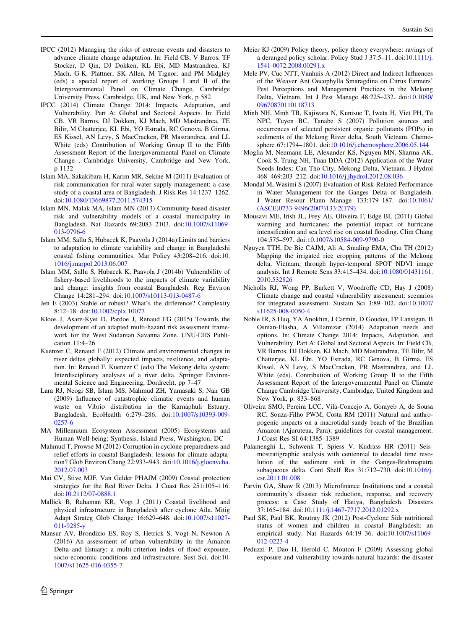- <span id="page-13-0"></span>IPCC (2012) Managing the risks of extreme events and disasters to advance climate change adaptation. In: Field CB, V Barros, TF Stocker, D Qin, DJ Dokken, KL Ebi, MD Mastrandrea, KJ Mach, G-K. Plattner, SK Allen, M Tignor, and PM Midgley (eds) a special report of working Groups I and II of the Intergovernmental Panel on Climate Change, Cambridge University Press, Cambridge, UK, and New York, p 582
- IPCC (2014) Climate Change 2014: Impacts, Adaptation, and Vulnerability. Part A: Global and Sectoral Aspects. In: Field CB, VR Barros, DJ Dokken, KJ Mach, MD Mastrandrea, TE Bilir, M Chatterjee, KL Ebi, YO Estrada, RC Genova, B Girma, ES Kissel, AN Levy, S MacCracken, PR Mastrandrea, and LL White (eds) Contribution of Working Group II to the Fifth Assessment Report of the Intergovernmental Panel on Climate Change , Cambridge University, Cambridge and New York, p 1132
- Islam MA, Sakakibara H, Karim MR, Sekine M (2011) Evaluation of risk communication for rural water supply management: a case study of a coastal area of Bangladesh. J Risk Res 14:1237–1262. doi[:10.1080/13669877.2011.574315](http://dx.doi.org/10.1080/13669877.2011.574315)
- Islam MN, Malak MA, Islam MN (2013) Community-based disaster risk and vulnerability models of a coastal municipality in Bangladesh. Nat Hazards 69:2083–2103. doi:[10.1007/s11069-](http://dx.doi.org/10.1007/s11069-013-0796-6) [013-0796-6](http://dx.doi.org/10.1007/s11069-013-0796-6)
- Islam MM, Sallu S, Hubacek K, Paavola J (2014a) Limits and barriers to adaptation to climate variability and change in Bangladeshi coastal fishing communities. Mar Policy 43:208–216. doi:[10.](http://dx.doi.org/10.1016/j.marpol.2013.06.007) [1016/j.marpol.2013.06.007](http://dx.doi.org/10.1016/j.marpol.2013.06.007)
- Islam MM, Sallu S, Hubacek K, Paavola J (2014b) Vulnerability of fishery-based livelihoods to the impacts of climate variability and change: insights from coastal Bangladesh. Reg Environ Change 14:281–294. doi[:10.1007/s10113-013-0487-6](http://dx.doi.org/10.1007/s10113-013-0487-6)
- Jen E (2003) Stable or robust? What's the difference? Complexity 8:12–18. doi:[10.1002/cplx.10077](http://dx.doi.org/10.1002/cplx.10077)
- Kloos J, Asare-Kyei D, Pardoe J, Renaud FG (2015) Towards the development of an adapted multi-hazard risk assessment framework for the West Sudanian Savanna Zone. UNU-EHS Publication 11:4–26
- Kuenzer C, Renaud F (2012) Climate and environmental changes in river deltas globally: expected impacts, resilience, and adaptation. In: Renaud F, Kuenzer C (eds) The Mekong delta system: Interdisciplinary analyses of a river delta. Springer Environmental Science and Engineering, Dordrecht, pp 7–47
- Lara RJ, Neogi SB, Islam MS, Mahmud ZH, Yamasaki S, Nair GB (2009) Influence of catastrophic climatic events and human waste on Vibrio distribution in the Karnaphuli Estuary, Bangladesh. EcoHealth 6:279–286. doi[:10.1007/s10393-009-](http://dx.doi.org/10.1007/s10393-009-0257-6) [0257-6](http://dx.doi.org/10.1007/s10393-009-0257-6)
- MA Millennium Ecosystem Assessment (2005) Ecosystems and Human Well-being: Synthesis. Island Press, Washington, DC
- Mahmud T, Prowse M (2012) Corruption in cyclone preparedness and relief efforts in coastal Bangladesh: lessons for climate adaptation? Glob Environ Chang 22:933–943. doi:[10.1016/j.gloenvcha.](http://dx.doi.org/10.1016/j.gloenvcha.2012.07.003) [2012.07.003](http://dx.doi.org/10.1016/j.gloenvcha.2012.07.003)
- Mai CV, Stive MJF, Van Gelder PHAJM (2009) Coastal protection strategies for the Red River Delta. J Coast Res 251:105–116. doi[:10.2112/07-0888.1](http://dx.doi.org/10.2112/07-0888.1)
- Mallick B, Rahaman KR, Vogt J (2011) Coastal livelihood and physical infrastructure in Bangladesh after cyclone Aila. Mitig Adapt Strateg Glob Change 16:629–648. doi:[10.1007/s11027-](http://dx.doi.org/10.1007/s11027-011-9285-y) [011-9285-y](http://dx.doi.org/10.1007/s11027-011-9285-y)
- Mansur AV, Brondizio ES, Roy S, Hetrick S, Vogt N, Newton A (2016) An assessment of urban vulnerability in the Amazon Delta and Estuary: a multi-criterion index of flood exposure, socio-economic conditions and infrastructure. Sust Sci. doi:[10.](http://dx.doi.org/10.1007/s11625-016-0355-7) [1007/s11625-016-0355-7](http://dx.doi.org/10.1007/s11625-016-0355-7)
- Meier KJ (2009) Policy theory, policy theory everywhere: ravings of a deranged policy scholar. Policy Stud J 37:5–11. doi:[10.1111/j.](http://dx.doi.org/10.1111/j.1541-0072.2008.00291.x) [1541-0072.2008.00291.x](http://dx.doi.org/10.1111/j.1541-0072.2008.00291.x)
- Mele PV, Cuc NTT, Vanhuis A (2012) Direct and Indirect Influences of the Weaver Ant Oecophylla Smaragdina on Citrus Farmers' Pest Perceptions and Management Practices in the Mekong Delta, Vietnam. Int J Pest Manage 48:225–232. doi[:10.1080/](http://dx.doi.org/10.1080/09670870110118713) [09670870110118713](http://dx.doi.org/10.1080/09670870110118713)
- Minh NH, Minh TB, Kajiwara N, Kunisue T, Iwata H, Viet PH, Tu NPC, Tuyen BC, Tanabe S (2007) Pollution sources and occurrences of selected persistent organic pollutants (POPs) in sediments of the Mekong River delta, South Vietnam. Chemosphere 67:1794–1801. doi[:10.1016/j.chemosphere.2006.05.144](http://dx.doi.org/10.1016/j.chemosphere.2006.05.144)
- Moglia M, Neumann LE, Alexander KS, Nguyen MN, Sharma AK, Cook S, Trung NH, Tuan DDA (2012) Application of the Water Needs Index: Can Tho City, Mekong Delta, Vietnam. J Hydrol 468–469:203–212. doi:[10.1016/j.jhydrol.2012.08.036](http://dx.doi.org/10.1016/j.jhydrol.2012.08.036)
- Mondal M, Wasimi S (2007) Evaluation of Risk-Related Performance in Water Management for the Ganges Delta of Bangladesh. J Water Resour Plann Manage 133:179–187. doi[:10.1061/](http://dx.doi.org/10.1061/(ASCE)0733-9496(2007)133:2(179)) [\(ASCE\)0733-9496\(2007\)133:2\(179\)](http://dx.doi.org/10.1061/(ASCE)0733-9496(2007)133:2(179))
- Mousavi ME, Irish JL, Frey AE, Oliveira F, Edge BL (2011) Global warming and hurricanes: the potential impact of hurricane intensification and sea level rise on coastal flooding. Clim Chang 104:575–597. doi[:10.1007/s10584-009-9790-0](http://dx.doi.org/10.1007/s10584-009-9790-0)
- Nguyen TTH, De Bie CAJM, Ali A, Smaling EMA, Chu TH (2012) Mapping the irrigated rice cropping patterns of the Mekong delta, Vietnam, through hyper-temporal SPOT NDVI image analysis. Int J Remote Sens 33:415–434. doi[:10.1080/01431161.](http://dx.doi.org/10.1080/01431161.2010.532826) [2010.532826](http://dx.doi.org/10.1080/01431161.2010.532826)
- Nicholls RJ, Wong PP, Burkett V, Woodroffe CD, Hay J (2008) Climate change and coastal vulnerability assessment: scenarios for integrated assessment. Sustain Sci 3:89–102. doi[:10.1007/](http://dx.doi.org/10.1007/s11625-008-0050-4) [s11625-008-0050-4](http://dx.doi.org/10.1007/s11625-008-0050-4)
- Noble IR, S Huq, YA Anokhin, J Carmin, D Goudou, FP Lansigan, B Osman-Elasha, A Villamizar (2014) Adaptation needs and options. In: Climate Change 2014: Impacts, Adaptation, and Vulnerability. Part A: Global and Sectoral Aspects. In: Field CB, VR Barros, DJ Dokken, KJ Mach, MD Mastrandrea, TE Bilir, M Chatterjee, KL Ebi, YO Estrada, RC Genova, B Girma, ES Kissel, AN Levy, S MacCracken, PR Mastrandrea, and LL White (eds). Contribution of Working Group II to the Fifth Assessment Report of the Intergovernmental Panel on Climate Change Cambridge University, Cambridge, United Kingdom and New York, p. 833–868
- Oliveira SMO, Pereira LCC, Vila-Concejo A, Gorayeb A, de Sousa RC, Souza-Filho PWM, Costa RM (2011) Natural and anthropogenic impacts on a macrotidal sandy beach of the Brazilian Amazon (Ajuruteua, Para): guidelines for coastal management. J Coast Res SI 64:1385–1389
- Palamenghi L, Schwenk T, Spiess V, Kudrass HR (2011) Seismostratigraphic analysis with centennial to decadal time resolution of the sediment sink in the Ganges-Brahmaputra subaqueous delta. Cont Shelf Res 31:712–730. doi:[10.1016/j.](http://dx.doi.org/10.1016/j.csr.2011.01.008) [csr.2011.01.008](http://dx.doi.org/10.1016/j.csr.2011.01.008)
- Parvin GA, Shaw R (2013) Microfinance Institutions and a coastal community's disaster risk reduction, response, and recovery process: a Case Study of Hatiya, Bangladesh. Disasters 37:165–184. doi:[10.1111/j.1467-7717.2012.01292.x](http://dx.doi.org/10.1111/j.1467-7717.2012.01292.x)
- Paul SK, Paul BK, Routray JK (2012) Post-Cyclone Sidr nutritional status of women and children in coastal Bangladesh: an empirical study. Nat Hazards 64:19–36. doi[:10.1007/s11069-](http://dx.doi.org/10.1007/s11069-012-0223-4) [012-0223-4](http://dx.doi.org/10.1007/s11069-012-0223-4)
- Peduzzi P, Dao H, Herold C, Mouton F (2009) Assessing global exposure and vulnerability towards natural hazards: the disaster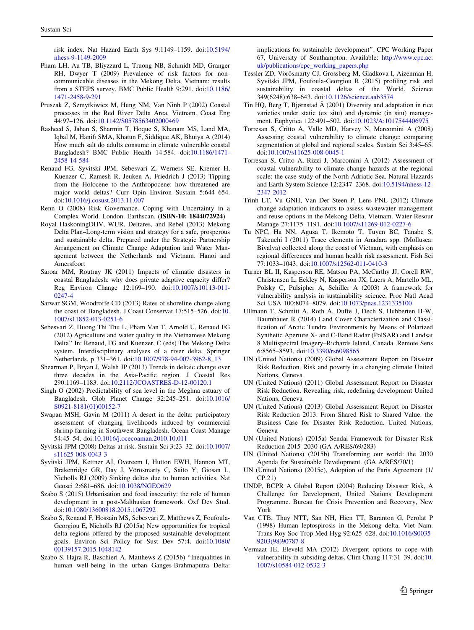<span id="page-14-0"></span>risk index. Nat Hazard Earth Sys 9:1149–1159. doi[:10.5194/](http://dx.doi.org/10.5194/nhess-9-1149-2009) [nhess-9-1149-2009](http://dx.doi.org/10.5194/nhess-9-1149-2009)

- Pham LH, Au TB, Bliyzzard L, Truong NB, Schmidt MD, Granger RH, Dwyer T (2009) Prevalence of risk factors for noncommunicable diseases in the Mekong Delta, Vietnam: results from a STEPS survey. BMC Public Health 9:291. doi[:10.1186/](http://dx.doi.org/10.1186/1471-2458-9-291) [1471-2458-9-291](http://dx.doi.org/10.1186/1471-2458-9-291)
- Pruszak Z, Szmytkiwicz M, Hung NM, Van Ninh P (2002) Coastal processes in the Red River Delta Area, Vietnam. Coast Eng 44:97–126. doi[:10.1142/S0578563402000469](http://dx.doi.org/10.1142/S0578563402000469)
- Rasheed S, Jahan S, Sharmin T, Hoque S, Khanam MS, Land MA, Iqbal M, Hanifi SMA, Khatun F, Siddique AK, Bhuiya A (2014) How much salt do adults consume in climate vulnerable coastal Bangladesh? BMC Public Health 14:584. doi[:10.1186/1471-](http://dx.doi.org/10.1186/1471-2458-14-584) [2458-14-584](http://dx.doi.org/10.1186/1471-2458-14-584)
- Renaud FG, Syvitski JPM, Sebesvari Z, Werners SE, Kremer H, Kuenzer C, Ramesh R, Jeuken A, Friedrich J (2013) Tipping from the Holocene to the Anthropocene: how threatened are major world deltas? Curr Opin Environ Sustain 5:644–654. doi[:10.1016/j.cosust.2013.11.007](http://dx.doi.org/10.1016/j.cosust.2013.11.007)
- Renn O (2008) Risk Governance. Coping with Uncertainty in a Complex World. London. Earthscan. (ISBN-10: 1844072924)
- Royal HaskoningDHV, WUR, Deltares, and Rebel (2013) Mekong Delta Plan–Long-term vision and strategy for a safe, prosperous and sustainable delta. Prepared under the Strategic Partnership Arrangement on Climate Change Adaptation and Water Management between the Netherlands and Vietnam. Hanoi and Amersfoort
- Saroar MM, Routray JK (2011) Impacts of climatic disasters in coastal Bangladesh: why does private adaptive capacity differ? Reg Environ Change 12:169–190. doi[:10.1007/s10113-011-](http://dx.doi.org/10.1007/s10113-011-0247-4) [0247-4](http://dx.doi.org/10.1007/s10113-011-0247-4)
- Sarwar SGM, Woodroffe CD (2013) Rates of shoreline change along the coast of Bangladesh. J Coast Conservat 17:515–526. doi:[10.](http://dx.doi.org/10.1007/s11852-013-0251-6) [1007/s11852-013-0251-6](http://dx.doi.org/10.1007/s11852-013-0251-6)
- Sebesvari Z, Huong Thi Thu L, Pham Van T, Arnold U, Renaud FG (2012) Agriculture and water quality in the Vietnamese Mekong Delta'' In: Renaud, FG and Kuenzer, C (eds) The Mekong Delta system. Interdisciplinary analyses of a river delta, Springer Netherlands, p 331–361. doi:[10.1007/978-94-007-3962-8\\_13](http://dx.doi.org/10.1007/978-94-007-3962-8_13)
- Shearman P, Bryan J, Walsh JP (2013) Trends in deltaic change over three decades in the Asia-Pacific region. J Coastal Res 290:1169–1183. doi[:10.2112/JCOASTRES-D-12-00120.1](http://dx.doi.org/10.2112/JCOASTRES-D-12-00120.1)
- Singh O (2002) Predictability of sea level in the Meghna estuary of Bangladesh. Glob Planet Change 32:245–251. doi[:10.1016/](http://dx.doi.org/10.1016/S0921-8181(01)00152-7) [S0921-8181\(01\)00152-7](http://dx.doi.org/10.1016/S0921-8181(01)00152-7)
- Swapan MSH, Gavin M (2011) A desert in the delta: participatory assessment of changing livelihoods induced by commercial shrimp farming in Southwest Bangladesh. Ocean Coast Manage 54:45–54. doi[:10.1016/j.ocecoaman.2010.10.011](http://dx.doi.org/10.1016/j.ocecoaman.2010.10.011)
- Syvitski JPM (2008) Deltas at risk. Sustain Sci 3:23–32. doi[:10.1007/](http://dx.doi.org/10.1007/s11625-008-0043-3) [s11625-008-0043-3](http://dx.doi.org/10.1007/s11625-008-0043-3)
- Syvitski JPM, Kettner AJ, Overeem I, Hutton EWH, Hannon MT, Brakenridge GR, Day J, Vörösmarty C, Saito Y, Giosan L, Nicholls RJ (2009) Sinking deltas due to human activities. Nat Geosci 2:681–686. doi:[10.1038/NGEO629](http://dx.doi.org/10.1038/NGEO629)
- Szabo S (2015) Urbanisation and food insecurity: the role of human development in a post-Malthusian framework. Oxf Dev Stud. doi[:10.1080/13600818.2015.1067292](http://dx.doi.org/10.1080/13600818.2015.1067292)
- Szabo S, Renaud F, Hossain MS, Sebesvari Z, Matthews Z, Foufoula-Georgiou E, Nicholls RJ (2015a) New opportunities for tropical delta regions offered by the proposed sustainable development goals. Environ Sci Policy for Sust Dev 57:4. doi[:10.1080/](http://dx.doi.org/10.1080/00139157.2015.1048142) [00139157.2015.1048142](http://dx.doi.org/10.1080/00139157.2015.1048142)
- Szabo S, Hajra R, Baschieri A, Matthews Z (2015b) ''Inequalities in human well-being in the urban Ganges-Brahmaputra Delta:

implications for sustainable development''. CPC Working Paper 67, University of Southampton. Available: [http://www.cpc.ac.](http://www.cpc.ac.uk/publications/cpc_working_papers.php) [uk/publications/cpc\\_working\\_papers.php](http://www.cpc.ac.uk/publications/cpc_working_papers.php)

- Tessler ZD, Vörösmarty CJ, Grossberg M, Gladkova I, Aizenman H, Syvitski JPM, Foufoula-Georgiou R (2015) profiling risk and sustainability in coastal deltas of the World. Science 349(6248):638–643. doi:[10.1126/science.aab3574](http://dx.doi.org/10.1126/science.aab3574)
- Tin HQ, Berg T, Bjørnstad  $\AA$  (2001) Diversity and adaptation in rice varieties under static (ex situ) and dynamic (in situ) management. Euphytica 122:491–502. doi[:10.1023/A:1017544406975](http://dx.doi.org/10.1023/A:1017544406975)
- Torresan S, Critto A, Valle MD, Harvey N, Marcomini A (2008) Assessing coastal vulnerability to climate change: comparing segmentation at global and regional scales. Sustain Sci 3:45–65. doi[:10.1007/s11625-008-0045-1](http://dx.doi.org/10.1007/s11625-008-0045-1)
- Torresan S, Critto A, Rizzi J, Marcomini A (2012) Assessment of coastal vulnerability to climate change hazards at the regional scale: the case study of the North Adriatic Sea. Natural Hazards and Earth System Science 12:2347–2368. doi[:10.5194/nhess-12-](http://dx.doi.org/10.5194/nhess-12-2347-2012) [2347-2012](http://dx.doi.org/10.5194/nhess-12-2347-2012)
- Trinh LT, Vu GNH, Van Der Steen P, Lens PNL (2012) Climate change adaptation indicators to assess wastewater management and reuse options in the Mekong Delta, Vietnam. Water Resour Manage 27:1175–1191. doi[:10.1007/s11269-012-0227-6](http://dx.doi.org/10.1007/s11269-012-0227-6)
- Tu NPC, Ha NN, Agusa T, Ikemoto T, Tuyen BC, Tanabe S, Takeuchi I (2011) Trace elements in Anadara spp. (Mollusca: Bivalva) collected along the coast of Vietnam, with emphasis on regional differences and human health risk assessment. Fish Sci 77:1033–1043. doi[:10.1007/s12562-011-0410-3](http://dx.doi.org/10.1007/s12562-011-0410-3)
- Turner BL II, Kasperson RE, Matson PA, McCarthy JJ, Corell RW, Christensen L, Eckley N, Kasperson JX, Luers A, Martello ML, Polsky C, Pulsipher A, Schiller A (2003) A framework for vulnerability analysis in sustainability science. Proc Natl Acad Sci USA 100:8074–8079. doi:[10.1073/pnas.1231335100](http://dx.doi.org/10.1073/pnas.1231335100)
- Ullmann T, Schmitt A, Roth A, Duffe J, Dech S, Hubberten H-W, Baumhauer R (2014) Land Cover Characterization and Classification of Arctic Tundra Environments by Means of Polarized Synthetic Aperture X- and C-Band Radar (PolSAR) and Landsat 8 Multispectral Imagery–Richards Island, Canada. Remote Sens 6:8565–8593. doi[:10.3390/rs6098565](http://dx.doi.org/10.3390/rs6098565)
- UN (United Nations) (2009) Global Assessment Report on Disaster Risk Reduction. Risk and poverty in a changing climate United Nations, Geneva
- UN (United Nations) (2011) Global Assessment Report on Disaster Risk Reduction. Revealing risk, redefining development United Nations, Geneva
- UN (United Nations) (2013) Global Assessment Report on Disaster Risk Reduction 2013. From Shared Risk to Shared Value: the Business Case for Disaster Risk Reduction. United Nations, Geneva
- UN (United Nations) (2015a) Sendai Framework for Disaster Risk Reduction 2015–2030 (GA A/RES/69/283)
- UN (United Nations) (2015b) Transforming our world: the 2030 Agenda for Sustainable Development. (GA A/RES/70/1)
- UN (United Nations) (2015c), Adoption of the Paris Agreement (1/ CP.21)
- UNDP, BCPR A Global Report (2004) Reducing Disaster Risk, A Challenge for Development, United Nations Development Programme. Bureau for Crisis Prevention and Recovery, New York
- Van CTB, Thuy NTT, San NH, Hien TT, Baranton G, Perolat P (1998) Human leptospirosis in the Mekong delta, Viet Nam. Trans Roy Soc Trop Med Hyg 92:625–628. doi:[10.1016/S0035-](http://dx.doi.org/10.1016/S0035-9203(98)90787-8) [9203\(98\)90787-8](http://dx.doi.org/10.1016/S0035-9203(98)90787-8)
- Vermaat JE, Eleveld MA (2012) Divergent options to cope with vulnerability in subsiding deltas. Clim Chang 117:31–39. doi:[10.](http://dx.doi.org/10.1007/s10584-012-0532-3) [1007/s10584-012-0532-3](http://dx.doi.org/10.1007/s10584-012-0532-3)